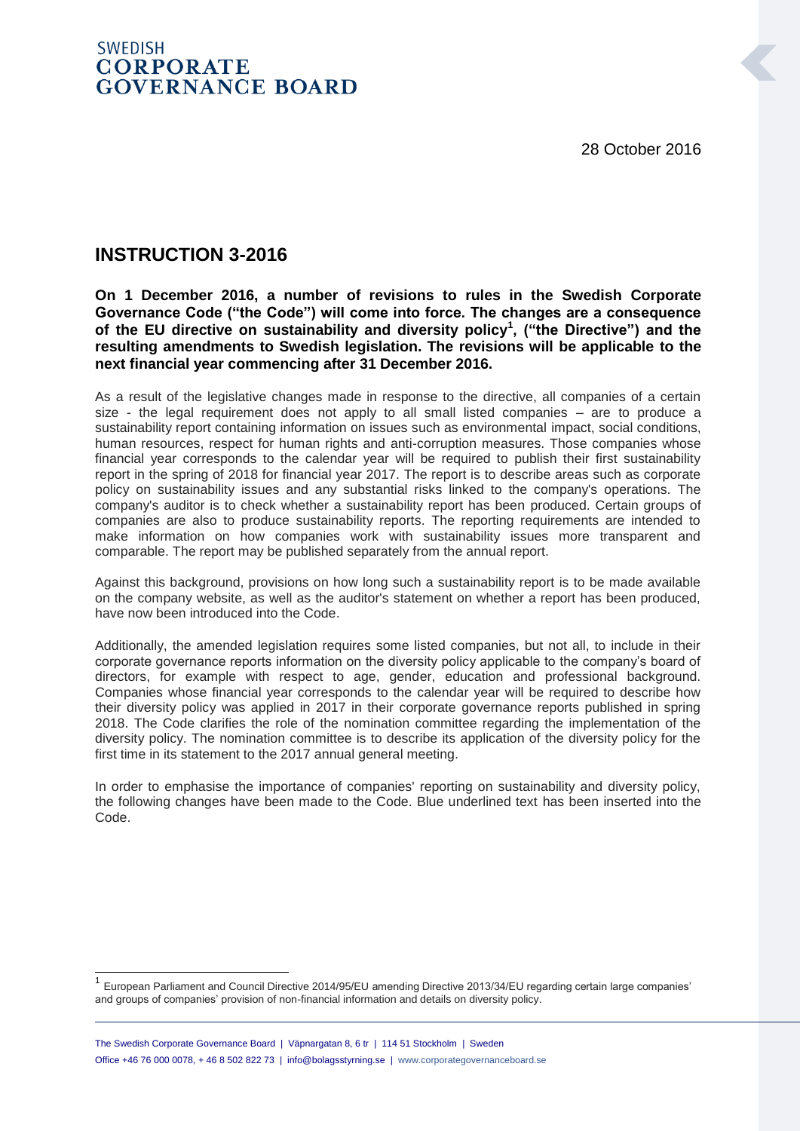28 October 2016

# **SWEDISH CORPORATE GOVERNANCE BOARD**

# **INSTRUCTION 3-2016**

**On 1 December 2016, a number of revisions to rules in the Swedish Corporate Governance Code ("the Code") will come into force. The changes are a consequence of the EU directive on sustainability and diversity policy<sup>1</sup> , ("the Directive") and the resulting amendments to Swedish legislation. The revisions will be applicable to the next financial year commencing after 31 December 2016.** 

As a result of the legislative changes made in response to the directive, all companies of a certain size - the legal requirement does not apply to all small listed companies – are to produce a sustainability report containing information on issues such as environmental impact, social conditions, human resources, respect for human rights and anti-corruption measures. Those companies whose financial year corresponds to the calendar year will be required to publish their first sustainability report in the spring of 2018 for financial year 2017. The report is to describe areas such as corporate policy on sustainability issues and any substantial risks linked to the company's operations. The company's auditor is to check whether a sustainability report has been produced. Certain groups of companies are also to produce sustainability reports. The reporting requirements are intended to make information on how companies work with sustainability issues more transparent and comparable. The report may be published separately from the annual report.

Against this background, provisions on how long such a sustainability report is to be made available on the company website, as well as the auditor's statement on whether a report has been produced, have now been introduced into the Code.

Additionally, the amended legislation requires some listed companies, but not all, to include in their corporate governance reports information on the diversity policy applicable to the company's board of directors, for example with respect to age, gender, education and professional background. Companies whose financial year corresponds to the calendar year will be required to describe how their diversity policy was applied in 2017 in their corporate governance reports published in spring 2018. The Code clarifies the role of the nomination committee regarding the implementation of the diversity policy. The nomination committee is to describe its application of the diversity policy for the first time in its statement to the 2017 annual general meeting.

In order to emphasise the importance of companies' reporting on sustainability and diversity policy, the following changes have been made to the Code. Blue underlined text has been inserted into the Code.

 1 European Parliament and Council Directive 2014/95/EU amending Directive 2013/34/EU regarding certain large companies' and groups of companies' provision of non-financial information and details on diversity policy.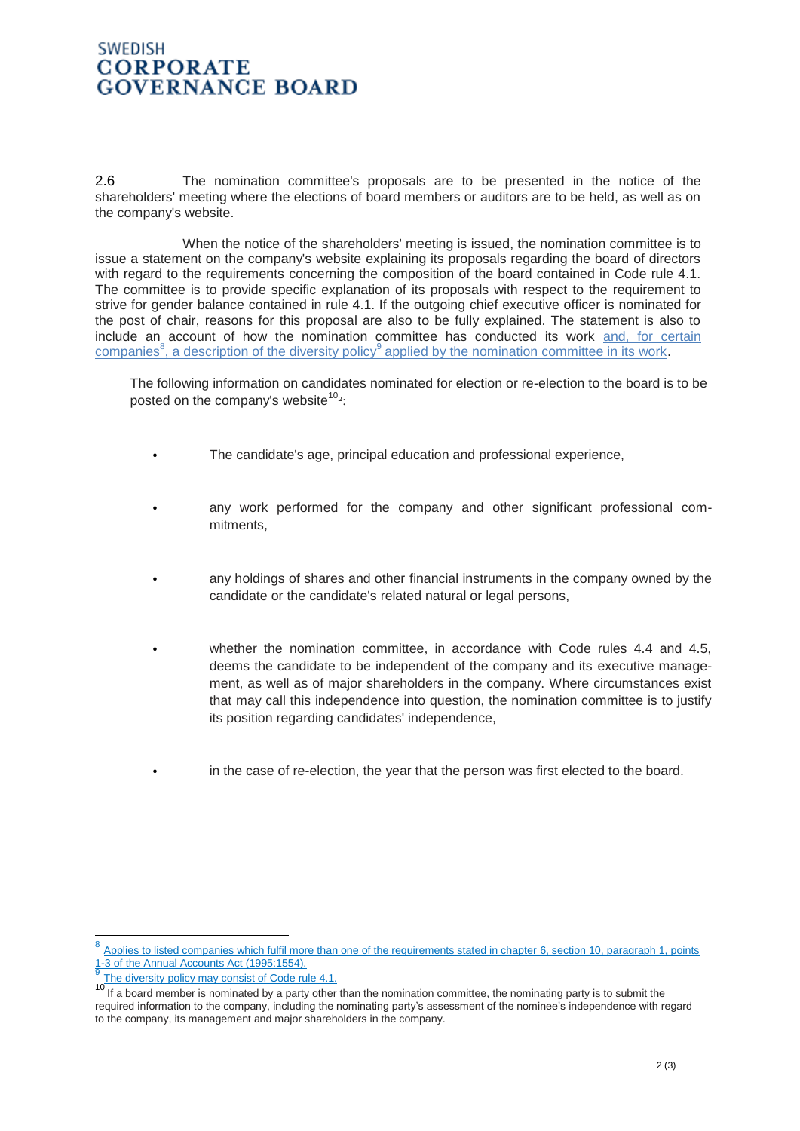### **SWEDISH CORPORATE GOVERNANCE BOARD**

2.6 The nomination committee's proposals are to be presented in the notice of the shareholders' meeting where the elections of board members or auditors are to be held, as well as on the company's website.

When the notice of the shareholders' meeting is issued, the nomination committee is to issue a statement on the company's website explaining its proposals regarding the board of directors with regard to the requirements concerning the composition of the board contained in Code rule 4.1. The committee is to provide specific explanation of its proposals with respect to the requirement to strive for gender balance contained in rule 4.1. If the outgoing chief executive officer is nominated for the post of chair, reasons for this proposal are also to be fully explained. The statement is also to include an account of how the nomination committee has conducted its work and, for certain companies<sup>8</sup>, a description of the diversity policy<sup>9</sup> applied by the nomination committee in its work.

The following information on candidates nominated for election or re-election to the board is to be posted on the company's website $^{10}$ <sup>2</sup>:

- The candidate's age, principal education and professional experience,
- any work performed for the company and other significant professional commitments,
- any holdings of shares and other financial instruments in the company owned by the candidate or the candidate's related natural or legal persons,
- whether the nomination committee, in accordance with Code rules 4.4 and 4.5, deems the candidate to be independent of the company and its executive management, as well as of major shareholders in the company. Where circumstances exist that may call this independence into question, the nomination committee is to justify its position regarding candidates' independence,
	- in the case of re-election, the year that the person was first elected to the board.

<sup>8</sup> Applies to listed companies which fulfil more than one of the requirements stated in chapter 6, section 10, paragraph 1, points 1-3 of the Annual Accounts Act (1995:1554).

<sup>9</sup> The diversity policy may consist of Code rule 4.1.

<sup>10</sup> If a board member is nominated by a party other than the nomination committee, the nominating party is to submit the required information to the company, including the nominating party's assessment of the nominee's independence with regard to the company, its management and major shareholders in the company.